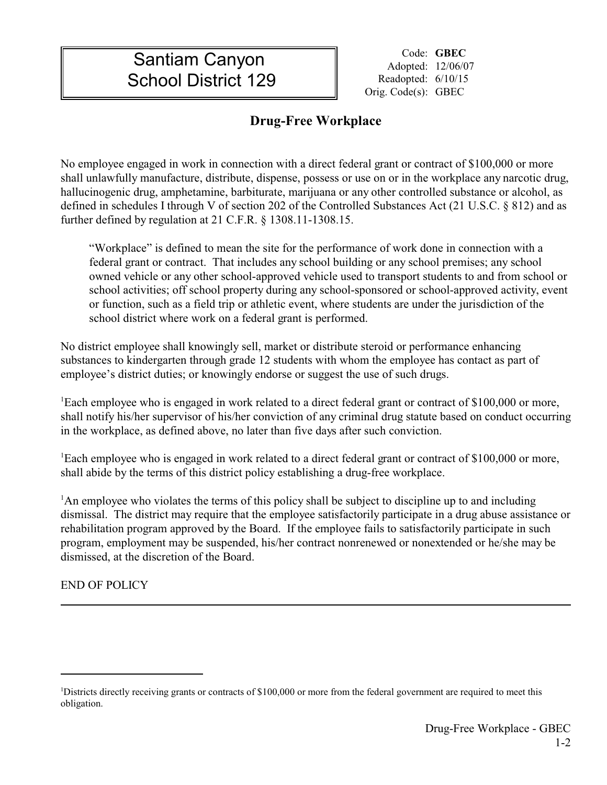## **Santiam Canyon** Code: GBEC Adopted: 12/06/07 School District 129 Readopted: 6/10/15

II II

Orig. Code(s): GBEC

## **Drug-Free Workplace**

No employee engaged in work in connection with a direct federal grant or contract of \$100,000 or more shall unlawfully manufacture, distribute, dispense, possess or use on or in the workplace any narcotic drug, hallucinogenic drug, amphetamine, barbiturate, marijuana or any other controlled substance or alcohol, as defined in schedules I through V of section 202 of the Controlled Substances Act (21 U.S.C. § 812) and as further defined by regulation at 21 C.F.R. § 1308.11-1308.15.

"Workplace" is defined to mean the site for the performance of work done in connection with a federal grant or contract. That includes any school building or any school premises; any school owned vehicle or any other school-approved vehicle used to transport students to and from school or school activities; off school property during any school-sponsored or school-approved activity, event or function, such as a field trip or athletic event, where students are under the jurisdiction of the school district where work on a federal grant is performed.

No district employee shall knowingly sell, market or distribute steroid or performance enhancing substances to kindergarten through grade 12 students with whom the employee has contact as part of employee's district duties; or knowingly endorse or suggest the use of such drugs.

<sup>1</sup>Each employee who is engaged in work related to a direct federal grant or contract of \$100,000 or more, shall notify his/her supervisor of his/her conviction of any criminal drug statute based on conduct occurring in the workplace, as defined above, no later than five days after such conviction.

<sup>1</sup>Each employee who is engaged in work related to a direct federal grant or contract of \$100,000 or more, shall abide by the terms of this district policy establishing a drug-free workplace.

<sup>1</sup>An employee who violates the terms of this policy shall be subject to discipline up to and including dismissal. The district may require that the employee satisfactorily participate in a drug abuse assistance or rehabilitation program approved by the Board. If the employee fails to satisfactorily participate in such program, employment may be suspended, his/her contract nonrenewed or nonextended or he/she may be dismissed, at the discretion of the Board.

END OF POLICY

<sup>&</sup>lt;sup>1</sup>Districts directly receiving grants or contracts of \$100,000 or more from the federal government are required to meet this obligation.